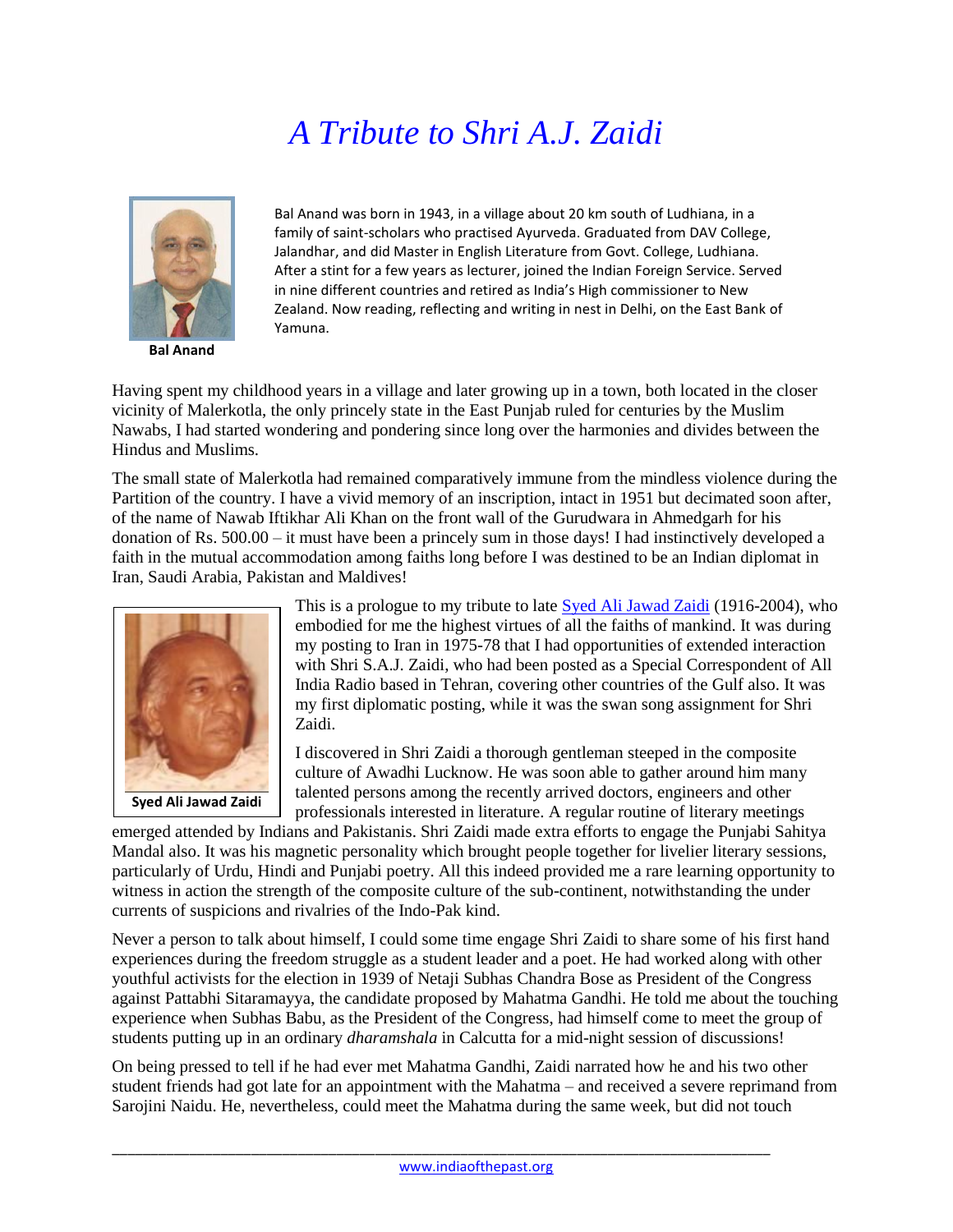## *A Tribute to Shri A.J. Zaidi*



**Bal Anand**

Bal Anand was born in 1943, in a village about 20 km south of Ludhiana, in a family of saint-scholars who practised Ayurveda. Graduated from DAV College, Jalandhar, and did Master in English Literature from Govt. College, Ludhiana. After a stint for a few years as lecturer, joined the Indian Foreign Service. Served in nine different countries and retired as India's High commissioner to New Zealand. Now reading, reflecting and writing in nest in Delhi, on the East Bank of Yamuna.

Having spent my childhood years in a village and later growing up in a town, both located in the closer vicinity of Malerkotla, the only princely state in the East Punjab ruled for centuries by the Muslim Nawabs, I had started wondering and pondering since long over the harmonies and divides between the Hindus and Muslims.

The small state of Malerkotla had remained comparatively immune from the mindless violence during the Partition of the country. I have a vivid memory of an inscription, intact in 1951 but decimated soon after, of the name of Nawab Iftikhar Ali Khan on the front wall of the Gurudwara in Ahmedgarh for his donation of Rs. 500.00 – it must have been a princely sum in those days! I had instinctively developed a faith in the mutual accommodation among faiths long before I was destined to be an Indian diplomat in Iran, Saudi Arabia, Pakistan and Maldives!



This is a prologue to my tribute to late [Syed Ali Jawad Zaidi](https://en.wikipedia.org/wiki/Ali_Jawad_Zaidi) (1916-2004), who embodied for me the highest virtues of all the faiths of mankind. It was during my posting to Iran in 1975-78 that I had opportunities of extended interaction with Shri S.A.J. Zaidi, who had been posted as a Special Correspondent of All India Radio based in Tehran, covering other countries of the Gulf also. It was my first diplomatic posting, while it was the swan song assignment for Shri Zaidi.

I discovered in Shri Zaidi a thorough gentleman steeped in the composite culture of Awadhi Lucknow. He was soon able to gather around him many talented persons among the recently arrived doctors, engineers and other professionals interested in literature. A regular routine of literary meetings

emerged attended by Indians and Pakistanis. Shri Zaidi made extra efforts to engage the Punjabi Sahitya Mandal also. It was his magnetic personality which brought people together for livelier literary sessions, particularly of Urdu, Hindi and Punjabi poetry. All this indeed provided me a rare learning opportunity to witness in action the strength of the composite culture of the sub-continent, notwithstanding the under currents of suspicions and rivalries of the Indo-Pak kind.

Never a person to talk about himself, I could some time engage Shri Zaidi to share some of his first hand experiences during the freedom struggle as a student leader and a poet. He had worked along with other youthful activists for the election in 1939 of Netaji Subhas Chandra Bose as President of the Congress against Pattabhi Sitaramayya, the candidate proposed by Mahatma Gandhi. He told me about the touching experience when Subhas Babu, as the President of the Congress, had himself come to meet the group of students putting up in an ordinary *dharamshala* in Calcutta for a mid-night session of discussions!

On being pressed to tell if he had ever met Mahatma Gandhi, Zaidi narrated how he and his two other student friends had got late for an appointment with the Mahatma – and received a severe reprimand from Sarojini Naidu. He, nevertheless, could meet the Mahatma during the same week, but did not touch

\_\_\_\_\_\_\_\_\_\_\_\_\_\_\_\_\_\_\_\_\_\_\_\_\_\_\_\_\_\_\_\_\_\_\_\_\_\_\_\_\_\_\_\_\_\_\_\_\_\_\_\_\_\_\_\_\_\_\_\_\_\_\_\_\_\_\_\_\_\_\_\_\_\_\_\_\_\_\_\_\_\_\_\_\_